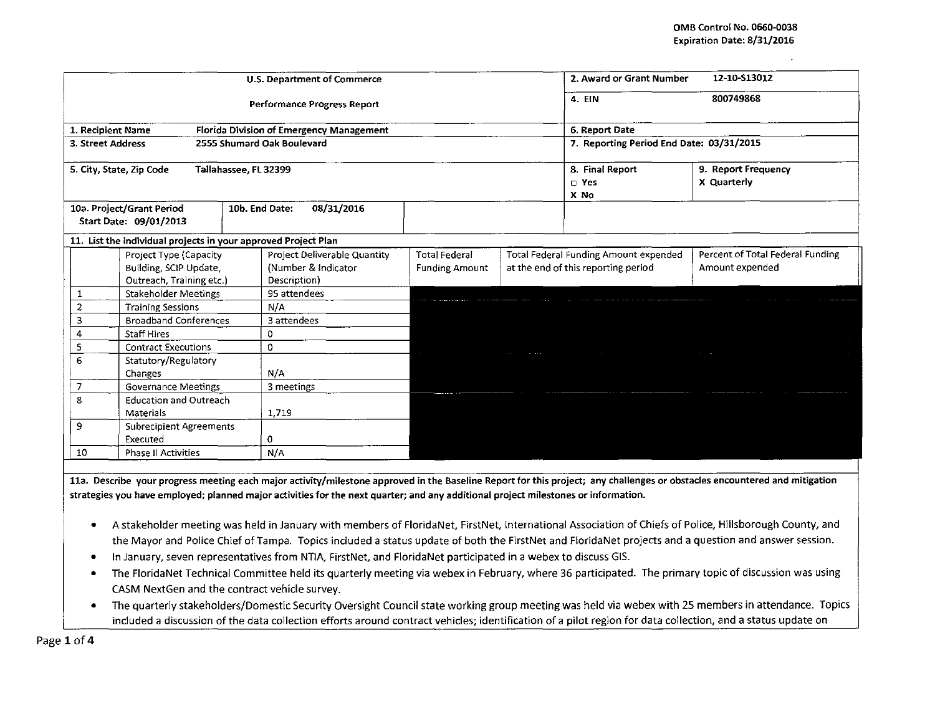|                                              |                                                                | <b>U.S. Department of Commerce</b>              | 12-10-513012<br>2. Award or Grant Number |                                    |                                                                                 |                                  |
|----------------------------------------------|----------------------------------------------------------------|-------------------------------------------------|------------------------------------------|------------------------------------|---------------------------------------------------------------------------------|----------------------------------|
|                                              |                                                                | <b>Performance Progress Report</b>              | 800749868<br>4. EIN                      |                                    |                                                                                 |                                  |
| 1. Recipient Name                            |                                                                | <b>Florida Division of Emergency Management</b> | 6. Report Date                           |                                    |                                                                                 |                                  |
| 3. Street Address                            |                                                                | 2555 Shumard Oak Boulevard                      | 7. Reporting Period End Date: 03/31/2015 |                                    |                                                                                 |                                  |
|                                              | 5. City, State, Zip Code<br>Tallahassee, FL 32399              |                                                 | 8. Final Report<br>$\square$ Yes<br>X No | 9. Report Frequency<br>X Quarterly |                                                                                 |                                  |
|                                              | 10a. Project/Grant Period<br>Start Date: 09/01/2013            | 10b. End Date:<br>08/31/2016                    |                                          |                                    |                                                                                 |                                  |
|                                              | 11. List the individual projects in your approved Project Plan |                                                 |                                          |                                    |                                                                                 |                                  |
|                                              | Project Type (Capacity                                         | Project Deliverable Quantity                    | Total Federal                            |                                    | Total Federal Funding Amount expended                                           | Percent of Total Federal Funding |
|                                              | Building, SCIP Update,<br>Outreach, Training etc.)             | (Number & Indicator<br>Description)             | <b>Funding Amount</b>                    |                                    | at the end of this reporting period                                             | Amount expended                  |
| 1                                            | <b>Stakeholder Meetings</b>                                    | 95 attendees                                    |                                          |                                    |                                                                                 |                                  |
| $\overline{2}$                               | <b>Training Sessions</b>                                       | N/A                                             |                                          |                                    |                                                                                 |                                  |
| 3<br><b>Broadband Conferences</b>            |                                                                | 3 attendees                                     |                                          |                                    |                                                                                 |                                  |
| 4<br><b>Staff Hires</b>                      |                                                                | 0                                               |                                          |                                    |                                                                                 |                                  |
| 5<br><b>Contract Executions</b>              |                                                                | 0                                               |                                          | $\sim$ 100 $\sim$ 100 $\sim$       | the contract of the contract of the contract of the contract of the contract of |                                  |
| 6                                            | Statutory/Regulatory                                           |                                                 |                                          |                                    |                                                                                 |                                  |
|                                              | <b>Changes</b>                                                 | N/A                                             |                                          |                                    |                                                                                 |                                  |
| $\overline{7}$<br><b>Governance Meetings</b> |                                                                | 3 meetings                                      |                                          |                                    |                                                                                 |                                  |
| 8                                            | <b>Education and Outreach</b>                                  |                                                 |                                          |                                    |                                                                                 |                                  |
| Materials                                    |                                                                | 1,719                                           |                                          |                                    |                                                                                 |                                  |
| 9                                            | <b>Subrecipient Agreements</b>                                 |                                                 |                                          |                                    |                                                                                 |                                  |
|                                              | Executed                                                       | 0                                               |                                          |                                    |                                                                                 |                                  |
| 10<br><b>Phase II Activities</b>             |                                                                | N/A                                             |                                          |                                    |                                                                                 |                                  |

11a. Describe your progress meeting each major activity/milestone approved in the Baseline Report for this project; any challenges or obstacles encountered and mitigation **strategies you have employed; planned major activities for the next quarter; and any additional project milestones or information.** 

- A stakeholder meeting was held in January with members of Florida Net, FirstNet, International Association of Chiefs of Police, Hillsborough County, and the Mayor and Police Chief of Tampa. Topics included a status update of both the FirstNet and FloridaNet projects and a question and answer session.
- In January, seven representatives from NTIA, FirstNet, and Florida Net participated in a webex to discuss GIS.
- The Florida Net Technical Committee held its quarterly meeting via webex in February, where 36 participated. The primary topic of discussion was using CASM NextGen and the contract vehicle survey.
- The quarterly stakeholders/Domestic Security Oversight Council state working group meeting was held via webex with 25 members in attendance. Topics included a discussion of the data collection efforts around contract vehicles; identification of a pilot region for data collection, and a status update on

Page 1 of 4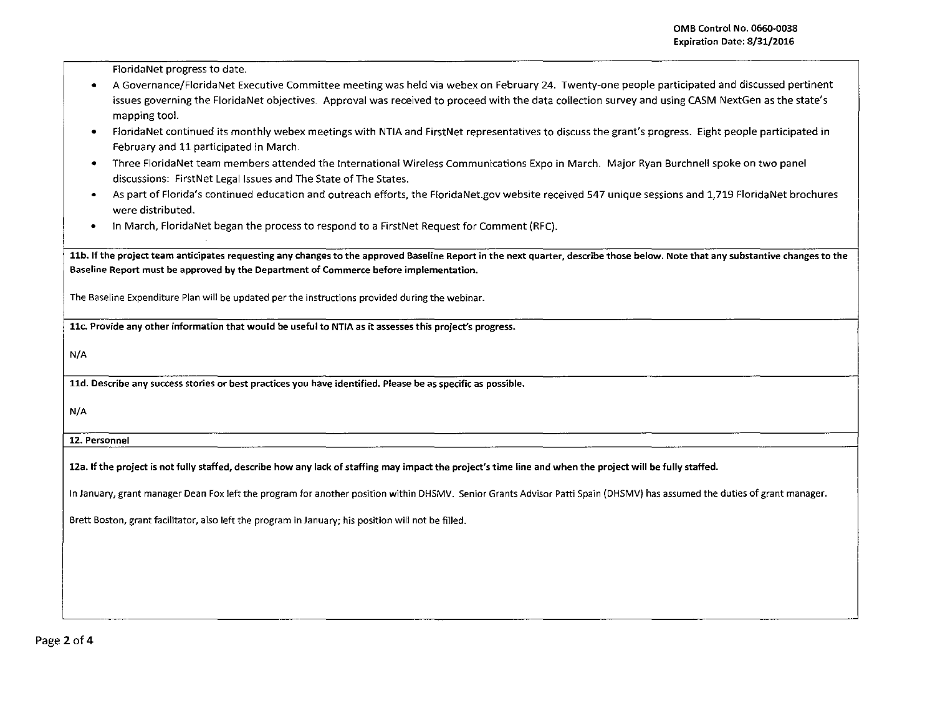Florida Net progress to date.

- **•** A Governance/FloridaNet Executive Committee meeting was held via webex on February 24. Twenty-one people participated and discussed pertinent issues governing the Florida Net objectives. Approval was received to proceed with the data collection survey and using CASM NextGen as the state's mapping tool.
- Florida Net continued its monthly webex meetings with NTIA and FirstNet representatives to discuss the grant's progress. Eight people participated in February and 11 participated in March.
- Three Florida Net team members attended the International Wireless Communications Expo in March. Major Ryan Burchnell spoke on two panel discussions: FirstNet Legal Issues and The State of The States.
- As part of Florida's continued education and outreach efforts, the FloridaNet.gov website received 547 unique sessions and 1,719 Florida Net brochures were distributed.
- In March, Florida Net began the process to respond to a FirstNet Request for Comment (RFC).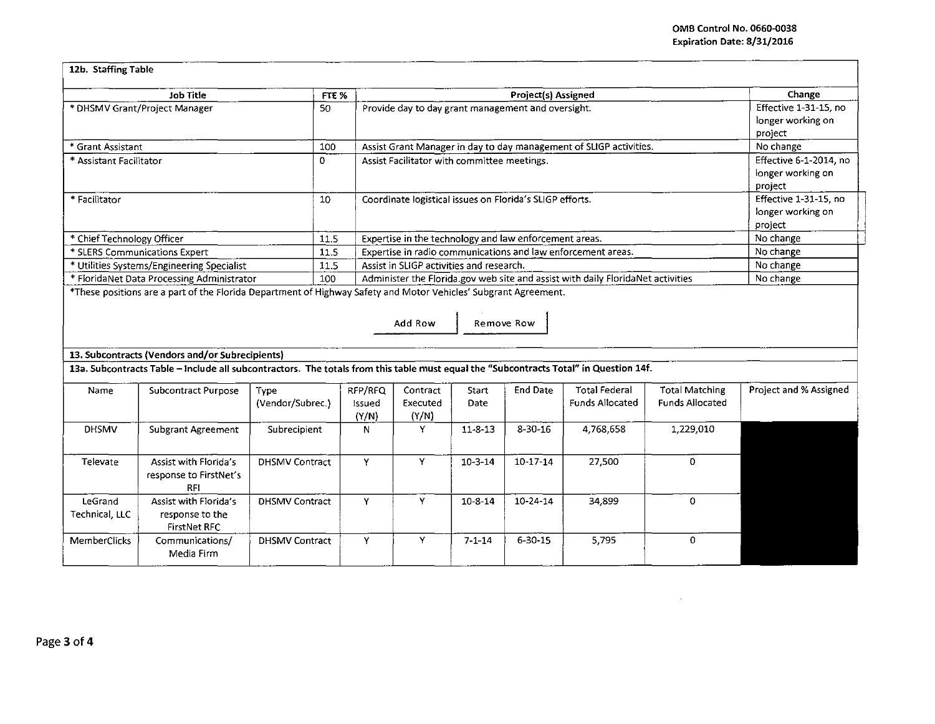$\mathcal{L}$ 

| 12b. Staffing Table                                                                                                                                           |                       |         |                                                                                 |                        |                   |                        |                        |                        |  |
|---------------------------------------------------------------------------------------------------------------------------------------------------------------|-----------------------|---------|---------------------------------------------------------------------------------|------------------------|-------------------|------------------------|------------------------|------------------------|--|
| <b>Job Title</b>                                                                                                                                              | FTE <sub>%</sub>      |         |                                                                                 | Change                 |                   |                        |                        |                        |  |
| * DHSMV Grant/Project Manager                                                                                                                                 |                       |         | Project(s) Assigned<br>Provide day to day grant management and oversight.       |                        |                   |                        |                        | Effective 1-31-15, no  |  |
|                                                                                                                                                               |                       |         |                                                                                 | longer working on      |                   |                        |                        |                        |  |
| * Grant Assistant                                                                                                                                             | 100                   |         | Assist Grant Manager in day to day management of SLIGP activities.              | project<br>No change   |                   |                        |                        |                        |  |
| * Assistant Facilitator                                                                                                                                       |                       |         | Assist Facilitator with committee meetings.                                     | Effective 6-1-2014, no |                   |                        |                        |                        |  |
|                                                                                                                                                               |                       |         |                                                                                 |                        |                   |                        |                        | longer working on      |  |
|                                                                                                                                                               |                       |         |                                                                                 |                        |                   |                        |                        | project                |  |
| * Facilitator                                                                                                                                                 |                       |         | Coordinate logistical issues on Florida's SLIGP efforts.                        | Effective 1-31-15, no  |                   |                        |                        |                        |  |
|                                                                                                                                                               |                       |         |                                                                                 |                        | longer working on |                        |                        |                        |  |
|                                                                                                                                                               |                       |         |                                                                                 | project                |                   |                        |                        |                        |  |
| * Chief Technology Officer                                                                                                                                    | 11.5                  |         | Expertise in the technology and law enforcement areas.                          |                        |                   |                        |                        | No change              |  |
| * SLERS Communications Expert                                                                                                                                 | 11.5                  |         | Expertise in radio communications and law enforcement areas.                    | No change              |                   |                        |                        |                        |  |
| * Utilities Systems/Engineering Specialist                                                                                                                    | 11.5                  |         | Assist in SLIGP activities and research.                                        | No change              |                   |                        |                        |                        |  |
| * FloridaNet Data Processing Administrator<br>*These positions are a part of the Florida Department of Highway Safety and Motor Vehicles' Subgrant Agreement. | 100                   |         | Administer the Florida.gov web site and assist with daily FloridaNet activities | No change              |                   |                        |                        |                        |  |
| Add Row<br>Remove Row                                                                                                                                         |                       |         |                                                                                 |                        |                   |                        |                        |                        |  |
| 13. Subcontracts (Vendors and/or Subrecipients)                                                                                                               |                       |         |                                                                                 |                        |                   |                        |                        |                        |  |
| 13a. Subcontracts Table - Include all subcontractors. The totals from this table must equal the "Subcontracts Total" in Question 14f.                         |                       |         |                                                                                 |                        |                   |                        |                        |                        |  |
| Name<br><b>Subcontract Purpose</b>                                                                                                                            | Type                  | RFP/RFQ | Contract                                                                        | Start                  | <b>End Date</b>   | <b>Total Federal</b>   | <b>Total Matching</b>  | Project and % Assigned |  |
|                                                                                                                                                               | (Vendor/Subrec.)      | Issued  | Executed                                                                        | Date                   |                   | <b>Funds Allocated</b> | <b>Funds Allocated</b> |                        |  |
| <b>DHSMV</b>                                                                                                                                                  |                       | (Y/N)   | (Y/N)<br>Y                                                                      | $11 - 8 - 13$          | $8 - 30 - 16$     |                        |                        |                        |  |
| <b>Subgrant Agreement</b>                                                                                                                                     | Subrecipient          | N       |                                                                                 |                        |                   | 4,768,658              | 1,229,010              |                        |  |
| Assist with Florida's<br><b>Televate</b>                                                                                                                      | <b>DHSMV Contract</b> | Y       | Y                                                                               | $10-3-14$              | $10 - 17 - 14$    | 27,500                 | $\Omega$               |                        |  |
| response to FirstNet's                                                                                                                                        |                       |         |                                                                                 |                        |                   |                        |                        |                        |  |
| <b>RFI</b>                                                                                                                                                    |                       |         |                                                                                 |                        |                   |                        |                        |                        |  |
| LeGrand<br>Assist with Florida's                                                                                                                              | <b>DHSMV Contract</b> | Υ       | Y                                                                               | $10 - 8 - 14$          | 10-24-14          | 34,899                 | 0                      |                        |  |
| Technical, LLC<br>response to the                                                                                                                             |                       |         |                                                                                 |                        |                   |                        |                        |                        |  |
| <b>FirstNet RFC</b>                                                                                                                                           |                       |         |                                                                                 |                        |                   |                        |                        |                        |  |
| MemberClicks<br>Communications/                                                                                                                               | <b>DHSMV Contract</b> | Y       | Y.                                                                              | $7 - 1 - 14$           | $6 - 30 - 15$     | 5,795                  | $\Omega$               |                        |  |
| Media Firm                                                                                                                                                    |                       |         |                                                                                 |                        |                   |                        |                        |                        |  |